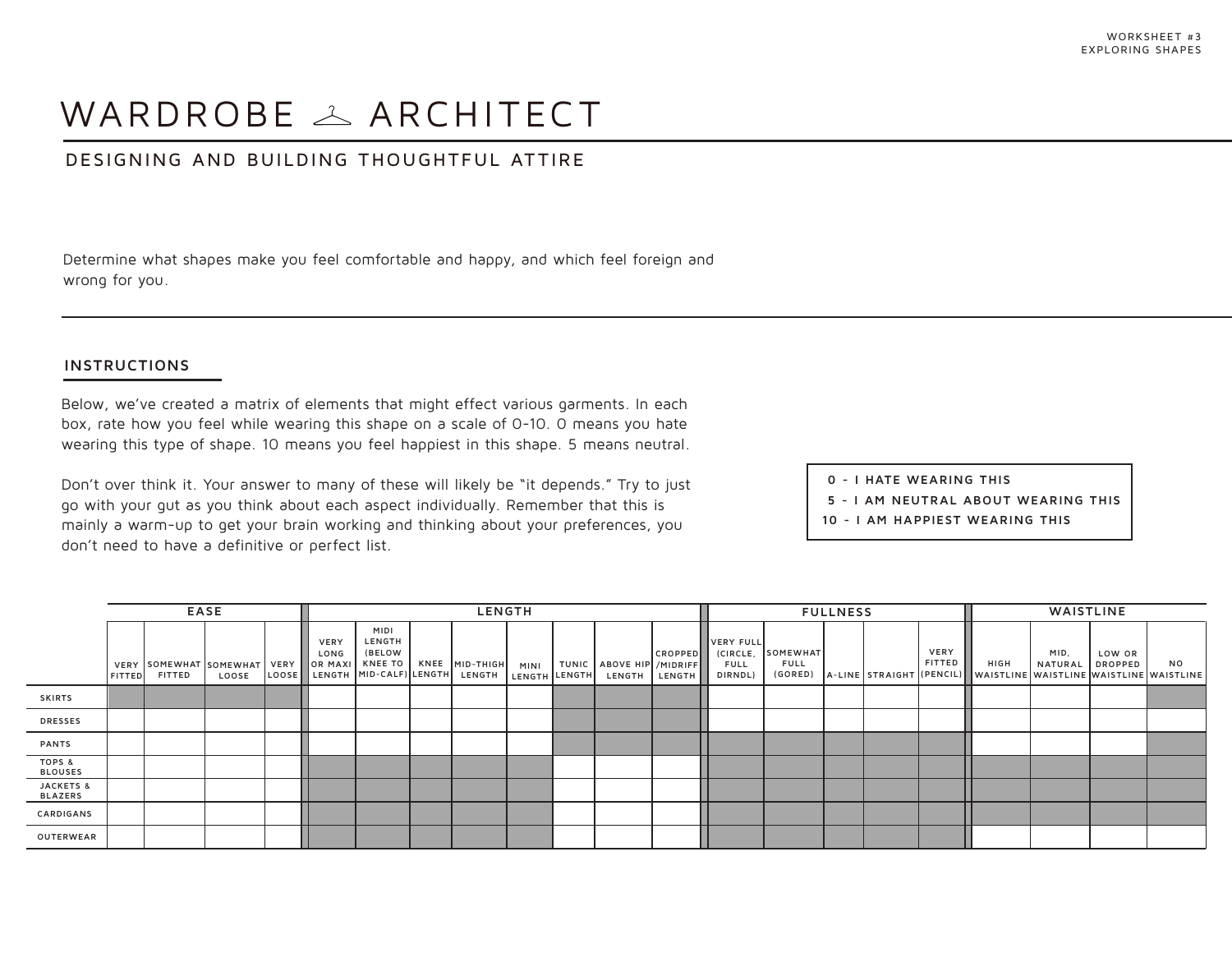# WARDROBE  $\triangle$  ARCHITECT

# DESIGNING AND BUILDING THOUGHTFUL ATTIRE

Determine what shapes make you feel comfortable and happy, and which feel foreign and wrong for you.

### **INSTRUCTIONS**

Below, we've created a matrix of elements that might effect various garments. In each box, rate how you feel while wearing this shape on a scale of 0-10. 0 means you hate wearing this type of shape. 10 means you feel happiest in this shape. 5 means neutral.

Don't over think it. Your answer to many of these will likely be "it depends." Try to just go with your gut as you think about each aspect individually. Remember that this is mainly a warm-up to get your brain working and thinking about your preferences, you don't need to have a definitive or perfect list.

 **0 - I HATE WEARING THIS**

- **5 I AM NEUTRAL ABOUT WEARING THIS**
- **10 I AM HAPPIEST WEARING THIS**

|                                     | <b>EASE</b>   |                                                                                       |       |  | <b>LENGTH</b>       |                                 |  |                                      |                              |  |                             |                                 | <b>FULLNESS</b>                                 |                         |  |  |                | WAISTLINE                                                                                |                 |                          |           |
|-------------------------------------|---------------|---------------------------------------------------------------------------------------|-------|--|---------------------|---------------------------------|--|--------------------------------------|------------------------------|--|-----------------------------|---------------------------------|-------------------------------------------------|-------------------------|--|--|----------------|------------------------------------------------------------------------------------------|-----------------|--------------------------|-----------|
|                                     | <b>FITTED</b> | VERY SOMEWHAT SOMEWHAT   VERY   OR MAXI   KNEE TO   KNEE   MID-THIGH<br><b>FITTED</b> | LOOSE |  | <b>VERY</b><br>LONG | <b>MIDI</b><br>LENGTH<br>(BELOW |  | LOOSE LENGTH MID-CALF) LENGTH LENGTH | <b>MINI</b><br>LENGTH LENGTH |  | TUNIC   ABOVE HIP / MIDRIFF | <b>CROPPED</b><br>LENGTH LENGTH | VERY FULL<br>(CIRCLE,<br><b>FULL</b><br>DIRNDL) | SOMEWHAT<br><b>FULL</b> |  |  | VERY<br>FITTED | HIGH<br>$(GORED)$ $A$ -LINE STRAIGHT $(CPENCIL)$ waistline waistline waistline waistline | MID,<br>NATURAL | LOW OR<br><b>DROPPED</b> | <b>NO</b> |
| <b>SKIRTS</b>                       |               |                                                                                       |       |  |                     |                                 |  |                                      |                              |  |                             |                                 |                                                 |                         |  |  |                |                                                                                          |                 |                          |           |
| <b>DRESSES</b>                      |               |                                                                                       |       |  |                     |                                 |  |                                      |                              |  |                             |                                 |                                                 |                         |  |  |                |                                                                                          |                 |                          |           |
| PANTS                               |               |                                                                                       |       |  |                     |                                 |  |                                      |                              |  |                             |                                 |                                                 |                         |  |  |                |                                                                                          |                 |                          |           |
| <b>TOPS &amp;</b><br><b>BLOUSES</b> |               |                                                                                       |       |  |                     |                                 |  |                                      |                              |  |                             |                                 |                                                 |                         |  |  |                |                                                                                          |                 |                          |           |
| JACKETS &<br><b>BLAZERS</b>         |               |                                                                                       |       |  |                     |                                 |  |                                      |                              |  |                             |                                 |                                                 |                         |  |  |                |                                                                                          |                 |                          |           |
| CARDIGANS                           |               |                                                                                       |       |  |                     |                                 |  |                                      |                              |  |                             |                                 |                                                 |                         |  |  |                |                                                                                          |                 |                          |           |
| OUTERWEAR                           |               |                                                                                       |       |  |                     |                                 |  |                                      |                              |  |                             |                                 |                                                 |                         |  |  |                |                                                                                          |                 |                          |           |